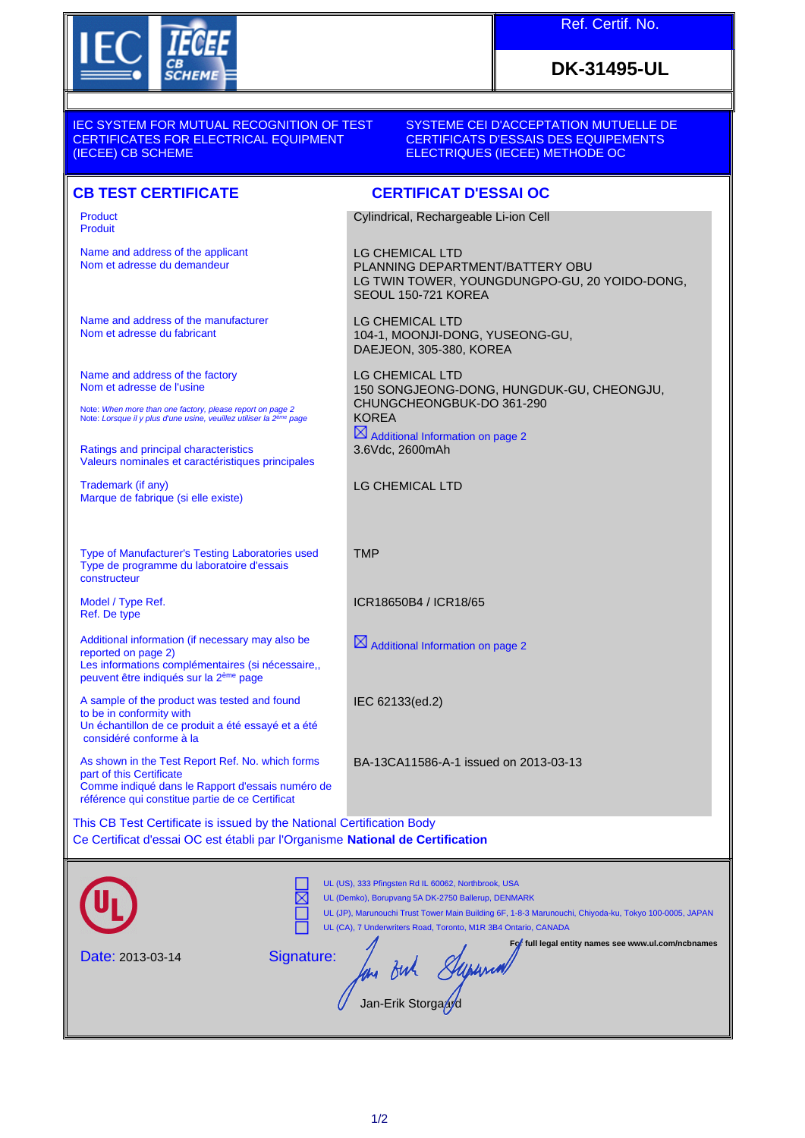

## Ref. Certif. No.

# **DK-31495-UL**

#### IEC SYSTEM FOR MUTUAL RECOGNITION OF TEST CERTIFICATES FOR ELECTRICAL EQUIPMENT (IECEE) CB SCHEME

#### SYSTEME CEI D'ACCEPTATION MUTUELLE DE CERTIFICATS D'ESSAIS DES EQUIPEMENTS ELECTRIQUES (IECEE) METHODE OC

### **CB TEST CERTIFICATE CERTIFICAT D'ESSAI OC**

| <b>Product</b><br><b>Produit</b>                                                                                                                                                                                                                                                                                                                                                                                                                                                                                                                                              | Cylindrical, Rechargeable Li-ion Cell                                                                                             |
|-------------------------------------------------------------------------------------------------------------------------------------------------------------------------------------------------------------------------------------------------------------------------------------------------------------------------------------------------------------------------------------------------------------------------------------------------------------------------------------------------------------------------------------------------------------------------------|-----------------------------------------------------------------------------------------------------------------------------------|
| Name and address of the applicant<br>Nom et adresse du demandeur                                                                                                                                                                                                                                                                                                                                                                                                                                                                                                              | <b>LG CHEMICAL LTD</b><br>PLANNING DEPARTMENT/BATTERY OBU<br>LG TWIN TOWER, YOUNGDUNGPO-GU, 20 YOIDO-DONG,<br>SEOUL 150-721 KOREA |
| Name and address of the manufacturer<br>Nom et adresse du fabricant                                                                                                                                                                                                                                                                                                                                                                                                                                                                                                           | <b>LG CHEMICAL LTD</b><br>104-1, MOONJI-DONG, YUSEONG-GU,<br>DAEJEON, 305-380, KOREA                                              |
| Name and address of the factory<br>Nom et adresse de l'usine<br>Note: When more than one factory, please report on page 2<br>Note: Lorsque il y plus d'une usine, veuillez utiliser la 2 <sup>ème</sup> page                                                                                                                                                                                                                                                                                                                                                                  | <b>LG CHEMICAL LTD</b><br>150 SONGJEONG-DONG, HUNGDUK-GU, CHEONGJU,<br>CHUNGCHEONGBUK-DO 361-290<br><b>KOREA</b>                  |
| Ratings and principal characteristics<br>Valeurs nominales et caractéristiques principales                                                                                                                                                                                                                                                                                                                                                                                                                                                                                    | $\boxtimes$ Additional Information on page 2<br>3.6Vdc, 2600mAh                                                                   |
| Trademark (if any)<br>Marque de fabrique (si elle existe)                                                                                                                                                                                                                                                                                                                                                                                                                                                                                                                     | <b>LG CHEMICAL LTD</b>                                                                                                            |
| Type of Manufacturer's Testing Laboratories used<br>Type de programme du laboratoire d'essais<br>constructeur                                                                                                                                                                                                                                                                                                                                                                                                                                                                 | <b>TMP</b>                                                                                                                        |
| Model / Type Ref.<br>Ref. De type                                                                                                                                                                                                                                                                                                                                                                                                                                                                                                                                             | ICR18650B4 / ICR18/65                                                                                                             |
| Additional information (if necessary may also be<br>reported on page 2)<br>Les informations complémentaires (si nécessaire,,<br>peuvent être indiqués sur la 2 <sup>ème</sup> page                                                                                                                                                                                                                                                                                                                                                                                            | $\boxtimes$ Additional Information on page 2                                                                                      |
| A sample of the product was tested and found<br>to be in conformity with<br>Un échantillon de ce produit a été essayé et a été<br>considéré conforme à la                                                                                                                                                                                                                                                                                                                                                                                                                     | IEC 62133(ed.2)                                                                                                                   |
| As shown in the Test Report Ref. No. which forms<br>part of this Certificate<br>Comme indiqué dans le Rapport d'essais numéro de<br>référence qui constitue partie de ce Certificat<br>$\overline{O}$ $\overline{D}$ $\overline{T}$ $\overline{O}$ $\overline{O}$ $\overline{O}$ $\overline{O}$ $\overline{O}$ $\overline{O}$ $\overline{O}$ $\overline{O}$ $\overline{O}$ $\overline{O}$ $\overline{O}$ $\overline{O}$ $\overline{O}$ $\overline{O}$ $\overline{O}$ $\overline{O}$ $\overline{O}$ $\overline{O}$ $\overline{O}$ $\overline{O}$ $\overline{O}$ $\overline{O}$ | BA-13CA11586-A-1 issued on 2013-03-13                                                                                             |

This CB Test Certificate is issued by the National Certification Body Ce Certificat d'essai OC est établi par l'Organisme **National de Certification**

|                  | UL (US), 333 Pfingsten Rd IL 60062, Northbrook, USA<br>UL (Demko), Borupvang 5A DK-2750 Ballerup, DENMARK<br>UL (JP), Marunouchi Trust Tower Main Building 6F, 1-8-3 Marunouchi, Chiyoda-ku, Tokyo 100-0005, JAPAN<br>UL (CA), 7 Underwriters Road, Toronto, M1R 3B4 Ontario, CANADA |
|------------------|--------------------------------------------------------------------------------------------------------------------------------------------------------------------------------------------------------------------------------------------------------------------------------------|
| Date: 2013-03-14 | For full legal entity names see www.ul.com/ncbnames<br>Signature:<br>Jan-Erik Storgasyd                                                                                                                                                                                              |